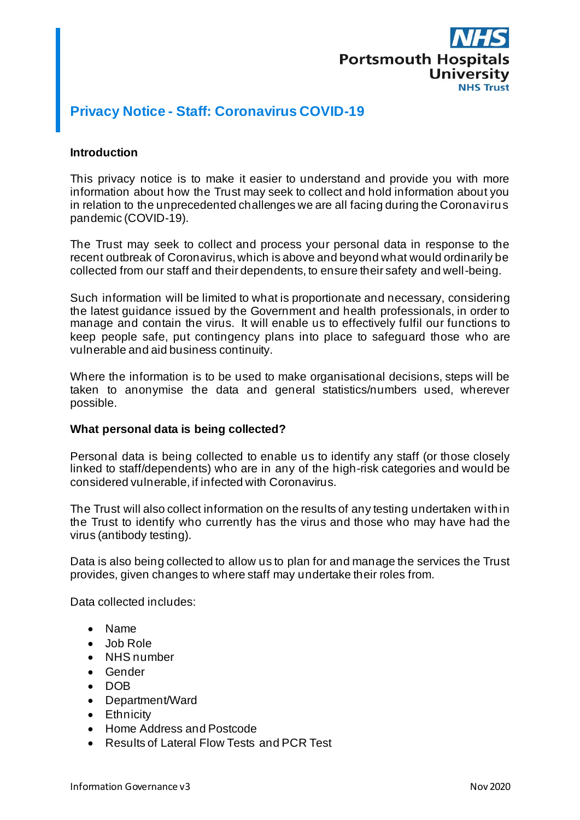

# **Privacy Notice - Staff: Coronavirus COVID-19**

### **Introduction**

This privacy notice is to make it easier to understand and provide you with more information about how the Trust may seek to collect and hold information about you in relation to the unprecedented challenges we are all facing during the Coronavirus pandemic (COVID-19).

The Trust may seek to collect and process your personal data in response to the recent outbreak of Coronavirus, which is above and beyond what would ordinarily be collected from our staff and their dependents, to ensure their safety and well-being.

Such information will be limited to what is proportionate and necessary, considering the latest guidance issued by the Government and health professionals, in order to manage and contain the virus. It will enable us to effectively fulfil our functions to keep people safe, put contingency plans into place to safeguard those who are vulnerable and aid business continuity.

Where the information is to be used to make organisational decisions, steps will be taken to anonymise the data and general statistics/numbers used, wherever possible.

#### **What personal data is being collected?**

Personal data is being collected to enable us to identify any staff (or those closely linked to staff/dependents) who are in any of the high-risk categories and would be considered vulnerable, if infected with Coronavirus.

The Trust will also collect information on the results of any testing undertaken within the Trust to identify who currently has the virus and those who may have had the virus (antibody testing).

Data is also being collected to allow us to plan for and manage the services the Trust provides, given changes to where staff may undertake their roles from.

Data collected includes:

- Name
- Job Role
- NHS number
- Gender
- DOB
- Department/Ward
- Ethnicity
- Home Address and Postcode
- Results of Lateral Flow Tests and PCR Test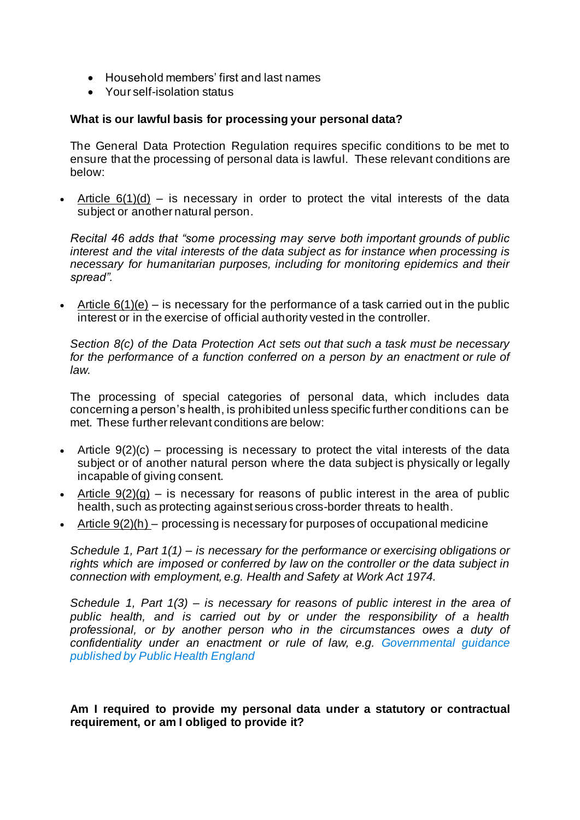- Household members' first and last names
- Your self-isolation status

# **What is our lawful basis for processing your personal data?**

The General Data Protection Regulation requires specific conditions to be met to ensure that the processing of personal data is lawful. These relevant conditions are below:

• Article  $6(1)(d)$  – is necessary in order to protect the vital interests of the data subject or another natural person.

*Recital 46 adds that "some processing may serve both important grounds of public interest and the vital interests of the data subject as for instance when processing is necessary for humanitarian purposes, including for monitoring epidemics and their spread".*

• Article  $6(1)(e)$  – is necessary for the performance of a task carried out in the public interest or in the exercise of official authority vested in the controller.

*Section 8(c) of the Data Protection Act sets out that such a task must be necessary*  for the performance of a function conferred on a person by an enactment or rule of *law.*

The processing of special categories of personal data, which includes data concerning a person's health, is prohibited unless specific further conditions can be met. These further relevant conditions are below:

- Article  $9(2)(c)$  processing is necessary to protect the vital interests of the data subject or of another natural person where the data subject is physically or legally incapable of giving consent.
- Article  $9(2)(g)$  is necessary for reasons of public interest in the area of public health, such as protecting against serious cross-border threats to health.
- Article  $9(2)(h)$  processing is necessary for purposes of occupational medicine

*Schedule 1, Part 1(1) – is necessary for the performance or exercising obligations or rights which are imposed or conferred by law on the controller or the data subject in connection with employment, e.g. Health and Safety at Work Act 1974.* 

*Schedule 1, Part 1(3) – is necessary for reasons of public interest in the area of public health, and is carried out by or under the responsibility of a health professional, or by another person who in the circumstances owes a duty of confidentiality under an enactment or rule of law, e.g. Governmental guidance published by Public Health England*

# **Am I required to provide my personal data under a statutory or contractual requirement, or am I obliged to provide it?**